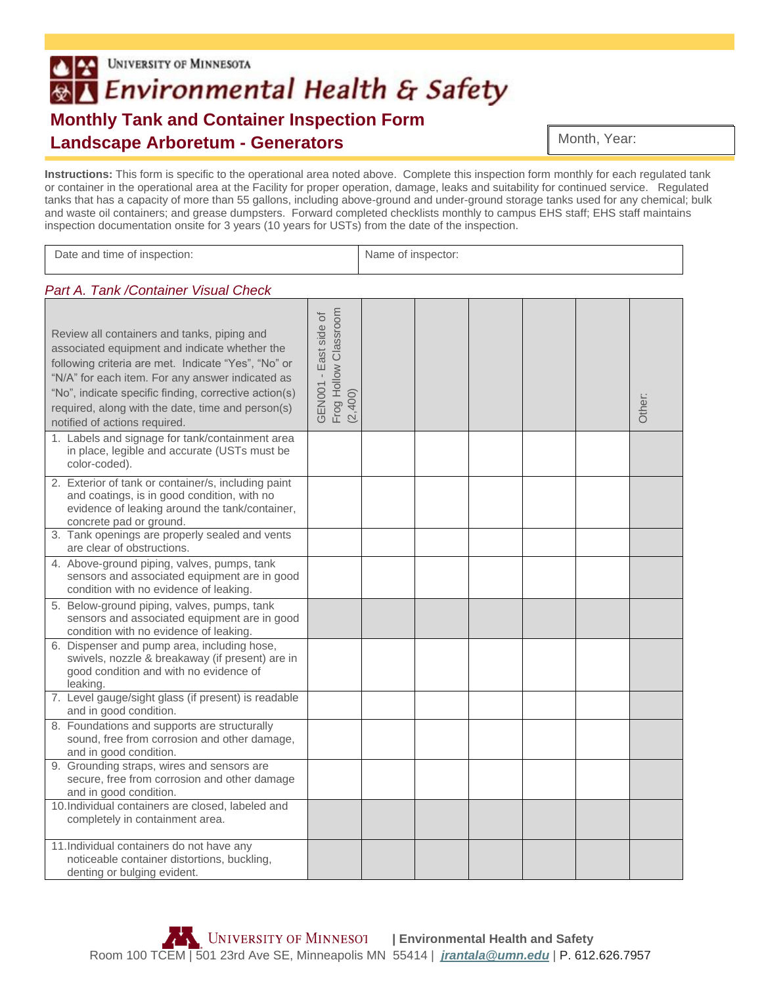## UNIVERSITY OF MINNESOTA ®△ Environmental Health & Safety **Monthly Tank and Container Inspection Form Landscape Arboretum - Generators**

**Instructions:** This form is specific to the operational area noted above. Complete this inspection form monthly for each regulated tank or container in the operational area at the Facility for proper operation, damage, leaks and suitability for continued service. Regulated tanks that has a capacity of more than 55 gallons, including above-ground and under-ground storage tanks used for any chemical; bulk and waste oil containers; and grease dumpsters. Forward completed checklists monthly to campus EHS staff; EHS staff maintains inspection documentation onsite for 3 years (10 years for USTs) from the date of the inspection.

| Date and time of inspection:                                                                                                                                                                                                                                                                                                                           | Name of inspector:                                        |  |  |  |  |  |        |
|--------------------------------------------------------------------------------------------------------------------------------------------------------------------------------------------------------------------------------------------------------------------------------------------------------------------------------------------------------|-----------------------------------------------------------|--|--|--|--|--|--------|
| Part A. Tank / Container Visual Check                                                                                                                                                                                                                                                                                                                  |                                                           |  |  |  |  |  |        |
| Review all containers and tanks, piping and<br>associated equipment and indicate whether the<br>following criteria are met. Indicate "Yes", "No" or<br>"N/A" for each item. For any answer indicated as<br>"No", indicate specific finding, corrective action(s)<br>required, along with the date, time and person(s)<br>notified of actions required. | Frog Hollow Classroom<br>GEN001 - East side of<br>(2,400) |  |  |  |  |  | Other: |
| 1. Labels and signage for tank/containment area<br>in place, legible and accurate (USTs must be<br>color-coded).                                                                                                                                                                                                                                       |                                                           |  |  |  |  |  |        |
| 2. Exterior of tank or container/s, including paint<br>and coatings, is in good condition, with no<br>evidence of leaking around the tank/container,<br>concrete pad or ground.                                                                                                                                                                        |                                                           |  |  |  |  |  |        |
| 3. Tank openings are properly sealed and vents<br>are clear of obstructions.                                                                                                                                                                                                                                                                           |                                                           |  |  |  |  |  |        |
| 4. Above-ground piping, valves, pumps, tank<br>sensors and associated equipment are in good<br>condition with no evidence of leaking.                                                                                                                                                                                                                  |                                                           |  |  |  |  |  |        |
| 5. Below-ground piping, valves, pumps, tank<br>sensors and associated equipment are in good<br>condition with no evidence of leaking.                                                                                                                                                                                                                  |                                                           |  |  |  |  |  |        |
| 6. Dispenser and pump area, including hose,<br>swivels, nozzle & breakaway (if present) are in<br>good condition and with no evidence of<br>leaking.                                                                                                                                                                                                   |                                                           |  |  |  |  |  |        |
| 7. Level gauge/sight glass (if present) is readable<br>and in good condition.                                                                                                                                                                                                                                                                          |                                                           |  |  |  |  |  |        |
| 8. Foundations and supports are structurally<br>sound, free from corrosion and other damage,<br>and in good condition.                                                                                                                                                                                                                                 |                                                           |  |  |  |  |  |        |
| 9. Grounding straps, wires and sensors are<br>secure, free from corrosion and other damage<br>and in good condition.                                                                                                                                                                                                                                   |                                                           |  |  |  |  |  |        |
| 10.Individual containers are closed, labeled and<br>completely in containment area.                                                                                                                                                                                                                                                                    |                                                           |  |  |  |  |  |        |
| 11. Individual containers do not have any<br>noticeable container distortions, buckling,<br>denting or bulging evident.                                                                                                                                                                                                                                |                                                           |  |  |  |  |  |        |

Month, Year: Month, Year: